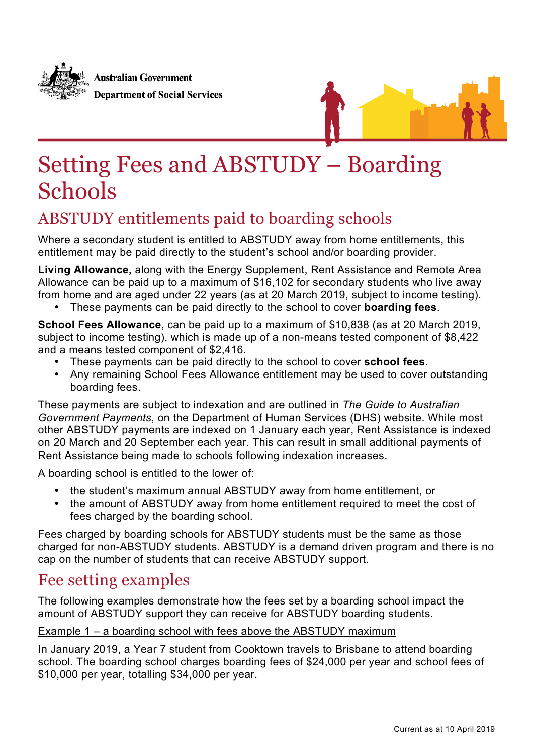

**Australian Government Department of Social Services** 



## Setting Fees and ABSTUDY – Boarding **Schools**

## ABSTUDY entitlements paid to boarding schools

Where a secondary student is entitled to ABSTUDY away from home entitlements, this entitlement may be paid directly to the student's school and/or boarding provider.

**Living Allowance,** along with the Energy Supplement, Rent Assistance and Remote Area Allowance can be paid up to a maximum of \$16,102 for secondary students who live away from home and are aged under 22 years (as at 20 March 2019, subject to income testing).

• These payments can be paid directly to the school to cover **boarding fees**.

**School Fees Allowance**, can be paid up to a maximum of \$10,838 (as at 20 March 2019, subject to income testing), which is made up of a non-means tested component of \$8,422 and a means tested component of \$2,416.

- These payments can be paid directly to the school to cover **school fees**.
- Any remaining School Fees Allowance entitlement may be used to cover outstanding boarding fees.

These payments are subject to indexation and are outlined in *The Guide to Australian Government Payments*, on the Department of Human Services (DHS) website. While most other ABSTUDY payments are indexed on 1 January each year, Rent Assistance is indexed on 20 March and 20 September each year. This can result in small additional payments of Rent Assistance being made to schools following indexation increases.

A boarding school is entitled to the lower of:

- the student's maximum annual ABSTUDY away from home entitlement, or
- the amount of ABSTUDY away from home entitlement required to meet the cost of fees charged by the boarding school.

Fees charged by boarding schools for ABSTUDY students must be the same as those charged for non-ABSTUDY students. ABSTUDY is a demand driven program and there is no cap on the number of students that can receive ABSTUDY support.

## Fee setting examples

The following examples demonstrate how the fees set by a boarding school impact the amount of ABSTUDY support they can receive for ABSTUDY boarding students.

## Example 1 – a boarding school with fees above the ABSTUDY maximum

In January 2019, a Year 7 student from Cooktown travels to Brisbane to attend boarding school. The boarding school charges boarding fees of \$24,000 per year and school fees of \$10,000 per year, totalling \$34,000 per year.